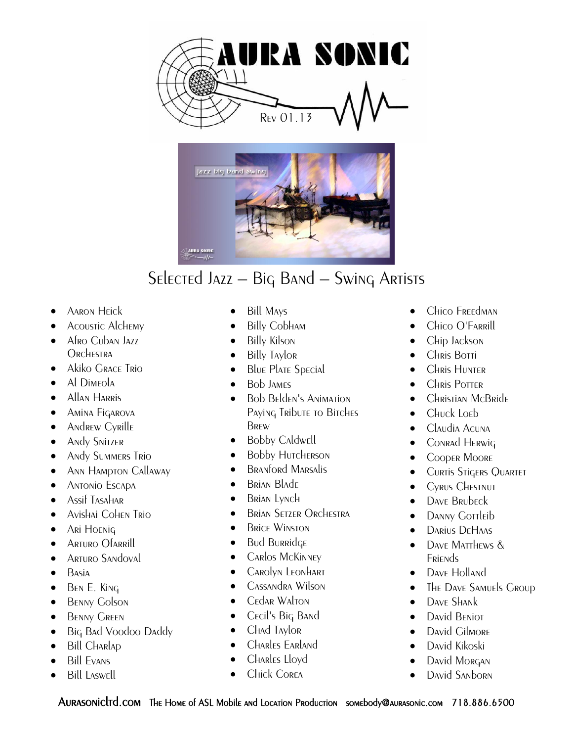



- Aaron Heick
- Acoustic Alchemy
- Afro Cuban Jazz Orchestra
- Akiko Grace Trio
- Al Dimeola
- Allan Harris
- **•** Amina Figarova
- Andrew Cyrille
- **•** Andy Snitzer
- **Andy Summers Trio**
- Ann Hampton Callaway
- **•** Antonio Escapa
- Assif Tasahar
- Avishai Cohen Trio
- **•** Ari Hoenig
- **•** Arturo Ofarrill
- **ARTURO SANDOVAL**
- $\bullet$  Basia
- $\bullet$  BEN E. King
- **BENNY Golson**
- **BENNY GREEN**
- Big Bad Voodoo Daddy
- Bill Charlap
- Bill Evans
- Bill Laswell
- Bill Mays
- Billy Cobham
- Billy Kilson
- Billy Taylor
- Blue Plate Special
- Bob James
- Bob Belden's Animation Paying Tribute to Bitches **BREW**
- Bobby Caldwell
- Bobby Hutcherson
- Branford Marsalis
- Brian Blade
- Brian Lynch
- Brian Setzer Orchestra
- Brice Winston
- Bud Burridge
- Carlos McKinney
- Carolyn Leonhart
- Cassandra Wilson
- Cedar Walton
- Cecil's Big Band
- Chad Taylor
- Charles Earland
- Charles Lloyd
- Chick Corea
- Chico Freedman
- Chico O'Farrill
- Chip Jackson
- Chris Botti
- **CHRIS HUNTER**
- **CHRIS POTTER**
- **•** Christian McBride
- Chuck Loeb
- Claudia Acuna
- **•** Conrad Herwig
- **•** Cooper Moore
- **CURTIS STIGERS QUARTET**
- **•** Cyrus CHESTNUT
- DAVE BRUDECK
- DANNY GOTTLEID
- Darius DeHaas
- DAVE MATTHEWS & **Friends**
- DAVE Holland
- The Dave Samuels Group
- DAVE SHANK
- David Beniot
- David Gilmore
- David Kikoski
- David Morgan
- David Sanborn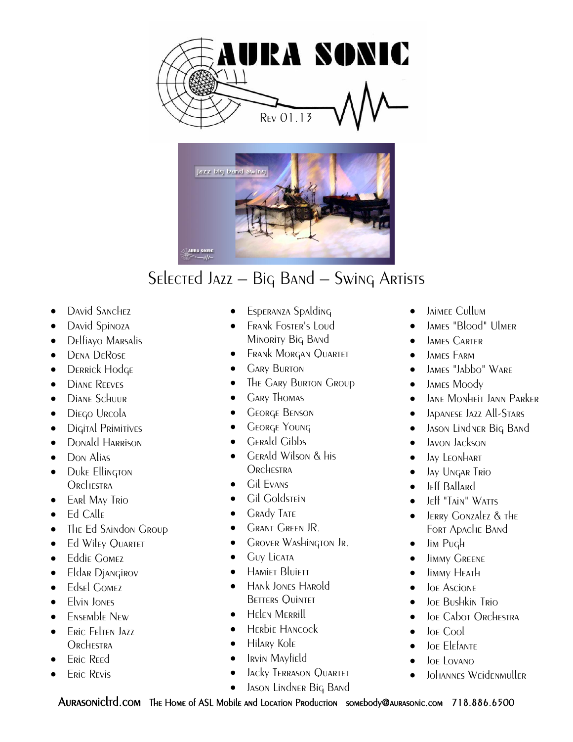



- David Sanchez
- David Spinoza
- Delfiayo Marsalis
- DENA DEROSE
- DERRICK Hodge
- DIANE REEVES
- **Diane Schuur**
- **·** Diego Urcola
- Digital Primitives
- Donald Harrison
- Don Alias
- Duke Ellington **ORCHESTRA**
- **•** EARL MAY TRIO
- Ed Calle
- The Ed Saindon Group
- Ed Wiley QUARTET
- **•** Eddie Gomez
- Eldar Djangirov
- **•** Edsel Gomez
- **Elvin JONES**
- Ensemble New
- **ERIC FELTEN JAZZ ORCHESTRA**
- Eric Reed
- Eric Revis
- Esperanza Spalding
- Frank Foster's Loud Minority Big Band
- Frank Morgan Quartet
- Gary Burton
- The Gary Burton Group
- Gary Thomas
- George Benson
- George Young
- Gerald Gibbs
- Gerald Wilson & his **ORCHESTRA**
- Gil Evans
- Gil Goldstein
- **GRADY TATE**
- Grant Green JR.
- Grover Washington Jr.
- Guy Licata
- **HAMIET BLUIETT**
- Hank Jones Harold **BETTERS QUINTET**
- Helen Merrill
- Herbie Hancock
- Hilary Kole
- Irvin Mayfield
- Jacky Terrason Quartet
- **•** JASON LINDNER BIG BAND
- Jaimee Cullum
- James "Blood" Ulmer
- **•** JAMES CARTER
- **•** JAMES FARM
- JAMES "JAbbo" WARE
- JAMES Moody
- **•** JANE MONHEIT JANN PARKER
- **•** JADANESE JAZZ All-STARS
- **•** JASON LINDNER BIG BAND
- **•** Javon Jackson
- Jay Leonhart
- **.** Jay Ungar Trio
- **• Jeff Ballard**
- $\bullet$  Jeff "Tain" Watts
- Jerry Gonzalez & the Fort Apache Band
- $\bullet$  Jim Pugh
- **·** Jimmy GREENE
- **•** Jimmy Heath
- **·** JOE Ascione
- Joe Bushkin Trio
- Joe Cabot Orchestra
- Joe Cool
- Joe Elefante
- Joe Lovano
- Johannes Weidenmuller
- 

AURASONICLTD.COM THE HOME of ASL Mobile and Location Production somebody@aurasonic.com 718.886.6500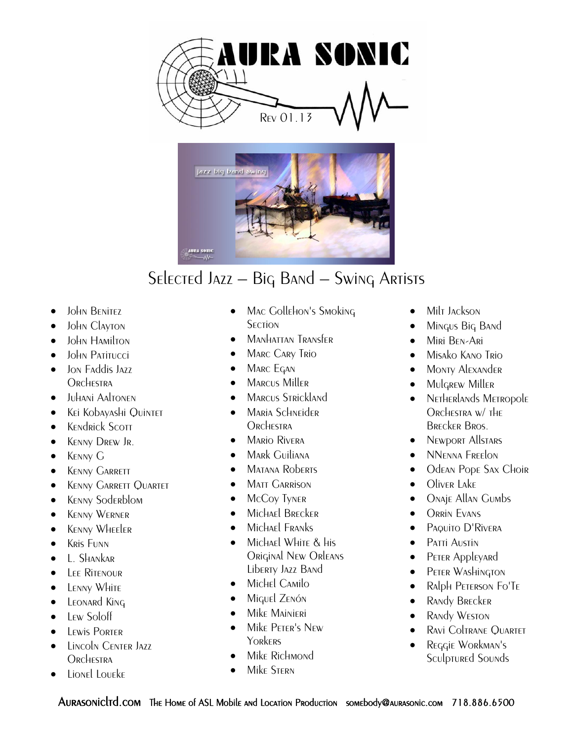



- John Benitez
- John Clayton
- John Hamilton
- John Patitucci
- Ion Faddis Jazz Orchestra
- Juhani Aaltonen
- Kei Kobayashi Quintet
- **•** KENdrick Scott
- **KENNY DREW JR.**
- KENNY G
- **•** KENNY GARRETT
- **KENNY GARRETT QUARTET**
- **•** KENNY Soderblom
- Kenny Werner
- **•** KENNY WHEELER
- **KRis FUNN**
- L. Shankar
- Lee Ritenour
- LENNY WHITE
- LEONARD KING
- $\bullet$  Lew Soloff
- Lewis Porter
- **CENTER JAZZ ORCHESTRA**
- Lionel Loueke
- Mac Gollehon's Smoking **SECTION**
- Manhattan Transfer
- **MARC CARY TRIO**
- Marc Egan
- Marcus Miller
- Marcus Strickland
- Maria Schneider **ORCHESTRA**
- Mario Rivera
- Mark Guiliana
- Matana Roberts
- **MATT GARRISON**
- McCoy Tyner
- Michael Brecker
- Michael Franks
- Michael White & his Original New Orleans Liberty Jazz Band
- Michel Camilo
- Miguel Zenón
- Mike Mainieri
- Mike Peter's New **YORKERS**
- Mike Richmond
- Mike Stern
- Milt Jackson
- Mingus Big Band
- **•** Miri BEN-Ari
- $\bullet$  Misako Kano Trio
- Monty Alexander
- Mulgrew Miller
- NETHERLANDS METROPOLE Orchestra w/ the Brecker Bros.
- Newport Allstars
- NNenna Freelon
- Odean Pope Sax Choir
- Oliver Lake
- Onaje Allan Gumbs
- Orrin Evans
- **•** Paquito D'Rivera
- **•** Patti Austin
- **•** PETER Appleyard
- **•** PETER WASHINGTON
- Ralph Peterson Fo'Te
- Randy Brecker
- RANdy WESTON
- Ravi Coltrane Quartet
- Reggie Workman's Sculptured Sounds